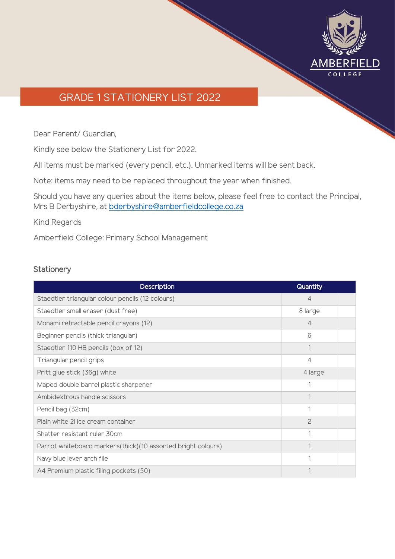

# GRADE 1 STATIONERY LIST 2022

Dear Parent/ Guardian,

Kindly see below the Stationery List for 2022.

All items must be marked (every pencil, etc.). Unmarked items will be sent back.

Note: items may need to be replaced throughout the year when finished.

Should you have any queries about the items below, please feel free to contact the Principal, Mrs B Derbyshire, at [bderbyshire@amberfieldcollege.co.za](mailto:bderbyshire@amberfieldcollege.co.za)

Kind Regards

Amberfield College: Primary School Management

#### **Stationery**

| <b>Description</b>                                           | Quantity       |  |
|--------------------------------------------------------------|----------------|--|
| Staedtler triangular colour pencils (12 colours)             | $\overline{4}$ |  |
| Staedtler small eraser (dust free)                           | 8 large        |  |
| Monami retractable pencil crayons (12)                       | 4              |  |
| Beginner pencils (thick triangular)                          | 6              |  |
| Staedtler 110 HB pencils (box of 12)                         |                |  |
| Triangular pencil grips                                      | $\overline{4}$ |  |
| Pritt glue stick (36g) white                                 | 4 large        |  |
| Maped double barrel plastic sharpener                        |                |  |
| Ambidextrous handle scissors                                 |                |  |
| Pencil bag (32cm)                                            |                |  |
| Plain white 21 ice cream container                           | 2              |  |
| Shatter resistant ruler 30cm                                 | 1              |  |
| Parrot whiteboard markers(thick)(10 assorted bright colours) |                |  |
| Navy blue lever arch file                                    |                |  |
| A4 Premium plastic filing pockets (50)                       |                |  |